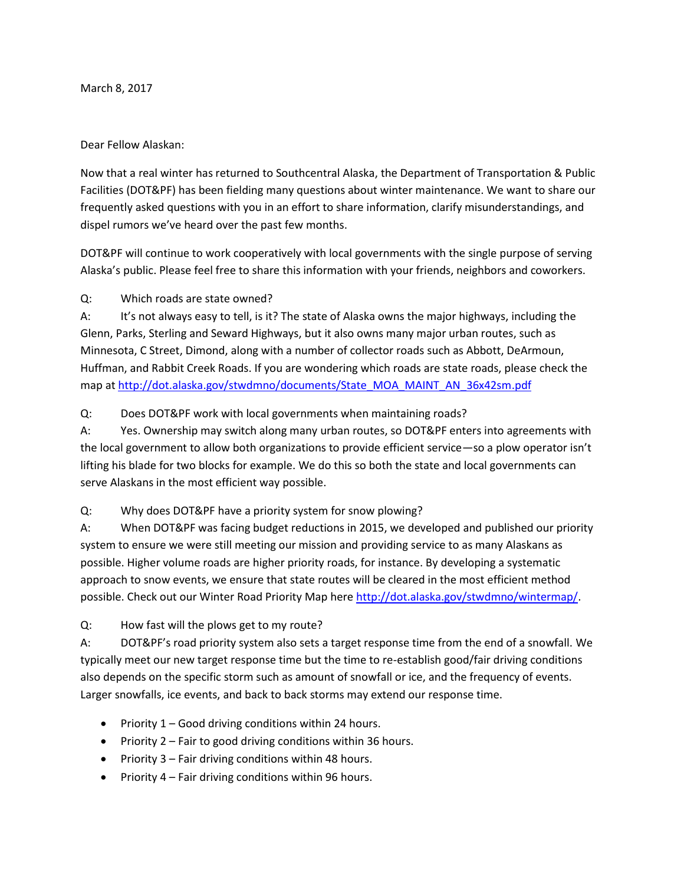March 8, 2017

#### Dear Fellow Alaskan:

Now that a real winter has returned to Southcentral Alaska, the Department of Transportation & Public Facilities (DOT&PF) has been fielding many questions about winter maintenance. We want to share our frequently asked questions with you in an effort to share information, clarify misunderstandings, and dispel rumors we've heard over the past few months.

DOT&PF will continue to work cooperatively with local governments with the single purpose of serving Alaska's public. Please feel free to share this information with your friends, neighbors and coworkers.

Q: Which roads are state owned?

A: It's not always easy to tell, is it? The state of Alaska owns the major highways, including the Glenn, Parks, Sterling and Seward Highways, but it also owns many major urban routes, such as Minnesota, C Street, Dimond, along with a number of collector roads such as Abbott, DeArmoun, Huffman, and Rabbit Creek Roads. If you are wondering which roads are state roads, please check the map at [http://dot.alaska.gov/stwdmno/documents/State\\_MOA\\_MAINT\\_AN\\_36x42sm.pdf](http://dot.alaska.gov/stwdmno/documents/State_MOA_MAINT_AN_36x42sm.pdf)

Q: Does DOT&PF work with local governments when maintaining roads?

A: Yes. Ownership may switch along many urban routes, so DOT&PF enters into agreements with the local government to allow both organizations to provide efficient service—so a plow operator isn't lifting his blade for two blocks for example. We do this so both the state and local governments can serve Alaskans in the most efficient way possible.

Q: Why does DOT&PF have a priority system for snow plowing?

A: When DOT&PF was facing budget reductions in 2015, we developed and published our priority system to ensure we were still meeting our mission and providing service to as many Alaskans as possible. Higher volume roads are higher priority roads, for instance. By developing a systematic approach to snow events, we ensure that state routes will be cleared in the most efficient method possible. Check out our Winter Road Priority Map here [http://dot.alaska.gov/stwdmno/wintermap/.](http://dot.alaska.gov/stwdmno/wintermap/)

Q: How fast will the plows get to my route?

A: DOT&PF's road priority system also sets a target response time from the end of a snowfall. We typically meet our new target response time but the time to re-establish good/fair driving conditions also depends on the specific storm such as amount of snowfall or ice, and the frequency of events. Larger snowfalls, ice events, and back to back storms may extend our response time.

- Priority 1 Good driving conditions within 24 hours.
- Priority  $2$  Fair to good driving conditions within 36 hours.
- Priority  $3$  Fair driving conditions within 48 hours.
- Priority  $4$  Fair driving conditions within 96 hours.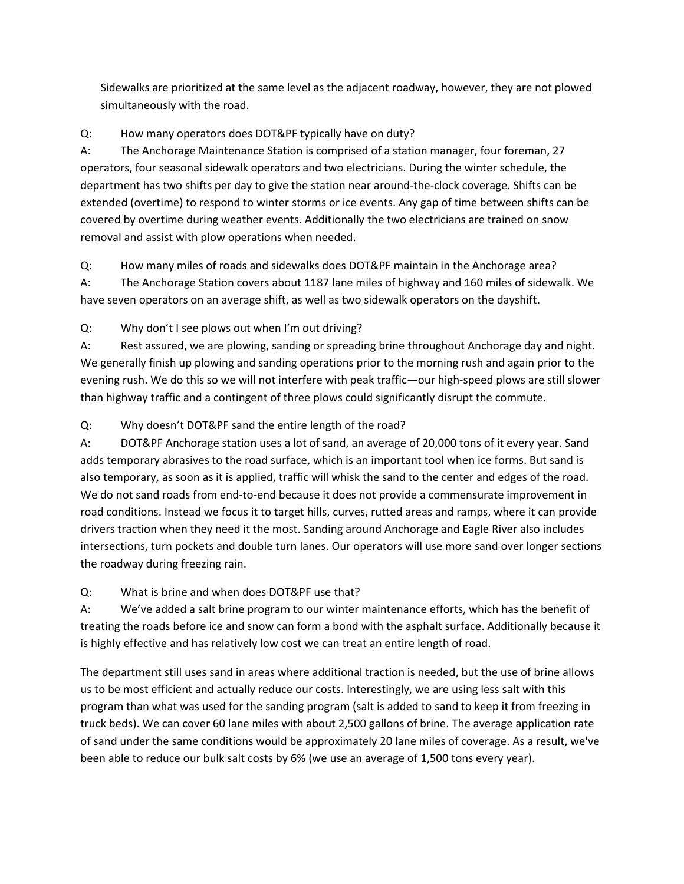Sidewalks are prioritized at the same level as the adjacent roadway, however, they are not plowed simultaneously with the road.

## Q: How many operators does DOT&PF typically have on duty?

A: The Anchorage Maintenance Station is comprised of a station manager, four foreman, 27 operators, four seasonal sidewalk operators and two electricians. During the winter schedule, the department has two shifts per day to give the station near around-the-clock coverage. Shifts can be extended (overtime) to respond to winter storms or ice events. Any gap of time between shifts can be covered by overtime during weather events. Additionally the two electricians are trained on snow removal and assist with plow operations when needed.

Q: How many miles of roads and sidewalks does DOT&PF maintain in the Anchorage area?

A: The Anchorage Station covers about 1187 lane miles of highway and 160 miles of sidewalk. We have seven operators on an average shift, as well as two sidewalk operators on the dayshift.

Q: Why don't I see plows out when I'm out driving?

A: Rest assured, we are plowing, sanding or spreading brine throughout Anchorage day and night. We generally finish up plowing and sanding operations prior to the morning rush and again prior to the evening rush. We do this so we will not interfere with peak traffic—our high-speed plows are still slower than highway traffic and a contingent of three plows could significantly disrupt the commute.

# Q: Why doesn't DOT&PF sand the entire length of the road?

A: DOT&PF Anchorage station uses a lot of sand, an average of 20,000 tons of it every year. Sand adds temporary abrasives to the road surface, which is an important tool when ice forms. But sand is also temporary, as soon as it is applied, traffic will whisk the sand to the center and edges of the road. We do not sand roads from end-to-end because it does not provide a commensurate improvement in road conditions. Instead we focus it to target hills, curves, rutted areas and ramps, where it can provide drivers traction when they need it the most. Sanding around Anchorage and Eagle River also includes intersections, turn pockets and double turn lanes. Our operators will use more sand over longer sections the roadway during freezing rain.

### Q: What is brine and when does DOT&PF use that?

A: We've added a salt brine program to our winter maintenance efforts, which has the benefit of treating the roads before ice and snow can form a bond with the asphalt surface. Additionally because it is highly effective and has relatively low cost we can treat an entire length of road.

The department still uses sand in areas where additional traction is needed, but the use of brine allows us to be most efficient and actually reduce our costs. Interestingly, we are using less salt with this program than what was used for the sanding program (salt is added to sand to keep it from freezing in truck beds). We can cover 60 lane miles with about 2,500 gallons of brine. The average application rate of sand under the same conditions would be approximately 20 lane miles of coverage. As a result, we've been able to reduce our bulk salt costs by 6% (we use an average of 1,500 tons every year).